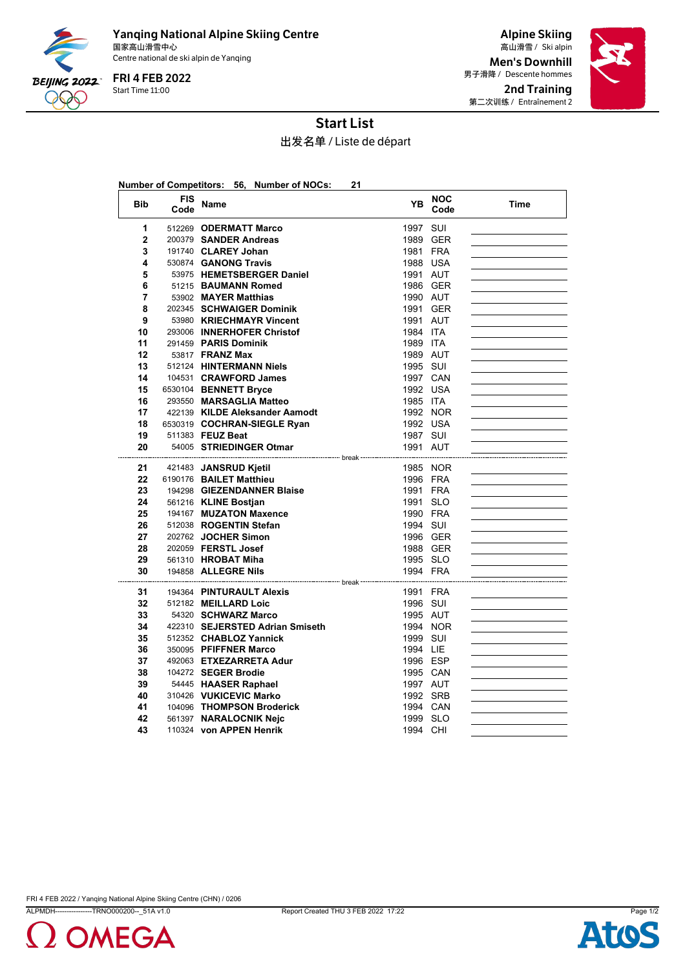

Yanqing National Alpine Skiing Centre 国家高山滑雪中心 Ski alpin 高山滑雪 / Centre national de ski alpin de Yanqing

Start Time 11:00 FRI 4 FEB 2022

Alpine Skiing Men's Downhill 男子滑降 / Descente hommes 2nd Training 第二次训练 / Entraînement 2



## Start List

出发名单 / Liste de départ

|                |                    | Number of Competitors: 56, Number of NOCs: | 21       |                    |      |
|----------------|--------------------|--------------------------------------------|----------|--------------------|------|
| <b>Bib</b>     | <b>FIS</b><br>Code | Name                                       | YΒ       | <b>NOC</b><br>Code | Time |
| 1              |                    | 512269 ODERMATT Marco                      | 1997 SUI |                    |      |
| $\overline{2}$ |                    | 200379 SANDER Andreas                      |          | 1989 GER           |      |
| 3              |                    | 191740 CLAREY Johan                        | 1981 FRA |                    |      |
| 4              |                    | 530874 GANONG Travis                       | 1988 USA |                    |      |
| 5              |                    | 53975 HEMETSBERGER Daniel                  | 1991 AUT |                    |      |
| 6              |                    | 51215 BAUMANN Romed                        |          | 1986 GER           |      |
| 7              |                    | 53902 MAYER Matthias                       | 1990 AUT |                    |      |
| 8              |                    | 202345 SCHWAIGER Dominik                   | 1991 GER |                    |      |
| 9              |                    | 53980 KRIECHMAYR Vincent                   | 1991 AUT |                    |      |
| 10             |                    | 293006 INNERHOFER Christof                 | 1984 ITA |                    |      |
| 11             |                    | 291459 PARIS Dominik                       | 1989 ITA |                    |      |
| 12             |                    | 53817 <b>FRANZ Max</b>                     | 1989 AUT |                    |      |
| 13             |                    | 512124 HINTERMANN Niels                    | 1995 SUI |                    |      |
| 14             |                    | 104531 CRAWFORD James                      | 1997 CAN |                    |      |
| 15             |                    | 6530104 BENNETT Bryce                      | 1992 USA |                    |      |
| 16             |                    | 293550 MARSAGLIA Matteo                    | 1985 ITA |                    |      |
| 17             |                    | 422139 KILDE Aleksander Aamodt             |          | 1992 NOR           |      |
| 18             |                    | 6530319 COCHRAN-SIEGLE Ryan                | 1992 USA |                    |      |
| 19             |                    | 511383 FEUZ Beat                           | 1987 SUI |                    |      |
| 20             |                    | 54005 STRIEDINGER Otmar                    | 1991 AUT |                    |      |
| 21             |                    | 421483 JANSRUD Kjetil                      |          | 1985 NOR           |      |
| 22             |                    | 6190176 BAILET Matthieu                    | 1996 FRA |                    |      |
| 23             |                    | 194298 GIEZENDANNER Blaise                 | 1991 FRA |                    |      |
| 24             |                    | 561216 KLINE Bostjan                       | 1991 SLO |                    |      |
| 25             |                    | 194167 MUZATON Maxence                     | 1990 FRA |                    |      |
| 26             |                    | 512038 ROGENTIN Stefan                     | 1994 SUI |                    |      |
| 27             |                    | 202762 JOCHER Simon                        |          | 1996 GER           |      |
| 28             |                    | 202059 FERSTL Josef                        |          | 1988 GER           |      |
| 29             |                    | 561310 HROBAT Miha                         | 1995 SLO |                    |      |
| 30             |                    | 194858 ALLEGRE Nils                        | 1994 FRA |                    |      |
| 31             |                    | 194364 PINTURAULT Alexis                   | 1991 FRA |                    |      |
| 32             |                    | 512182 MEILLARD Loic                       | 1996 SUI |                    |      |
| 33             |                    | 54320 SCHWARZ Marco                        | 1995 AUT |                    |      |
| 34             |                    | 422310 SEJERSTED Adrian Smiseth            |          | 1994 NOR           |      |
| 35             |                    | 512352 CHABLOZ Yannick                     | 1999 SUI |                    |      |
| 36             |                    | 350095 PFIFFNER Marco                      | 1994 LIE |                    |      |
| 37             |                    | 492063 ETXEZARRETA Adur                    | 1996 ESP |                    |      |
| 38             |                    | 104272 SEGER Brodie                        | 1995 CAN |                    |      |
| 39             |                    | 54445 HAASER Raphael                       | 1997 AUT |                    |      |
| 40             |                    | 310426 VUKICEVIC Marko                     | 1992 SRB |                    |      |
| 41             |                    | 104096 THOMPSON Broderick                  | 1994 CAN |                    |      |
| 42             |                    | 561397 NARALOCNIK Neic                     | 1999 SLO |                    |      |
| 43             |                    | 110324 von APPEN Henrik                    | 1994 CHI |                    |      |